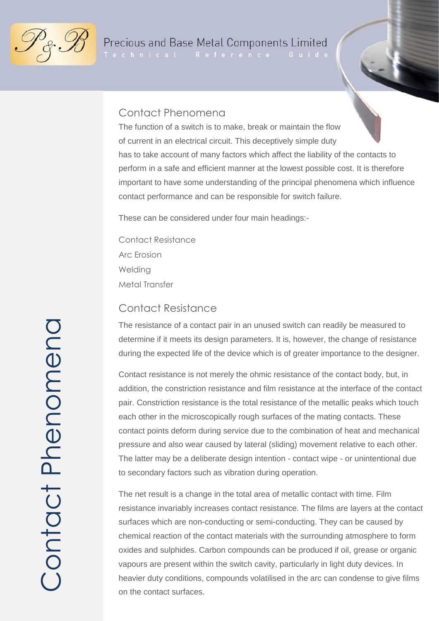

Technical Reference Guide

#### Contact Phenomena

has to take account of many factors which affect the liability of the contacts to perform in a safe and efficient manner at the lowest possible cost. It is therefore important to have some understanding of the principal phenomena which influence contact performance and can be responsible for switch failure. The function of a switch is to make, break or maintain the flow of current in an electrical circuit. This deceptively simple duty

These can be considered under four main headings:-

Contact Resistance Arc Erosion **Welding** Metal Transfer

#### Contact Resistance

The resistance of a contact pair in an unused switch can readily be measured to determine if it meets its design parameters. It is, however, the change of resistance during the expected life of the device which is of greater importance to the designer.

Contact resistance is not merely the ohmic resistance of the contact body, but, in addition, the constriction resistance and film resistance at the interface of the contact pair. Constriction resistance is the total resistance of the metallic peaks which touch each other in the microscopically rough surfaces of the mating contacts. These contact points deform during service due to the combination of heat and mechanical pressure and also wear caused by lateral (sliding) movement relative to each other. The latter may be a deliberate design intention - contact wipe - or unintentional due to secondary factors such as vibration during operation.

The net result is a change in the total area of metallic contact with time. Film resistance invariably increases contact resistance. The films are layers at the contact surfaces which are non-conducting or semi-conducting. They can be caused by chemical reaction of the contact materials with the surrounding atmosphere to form oxides and sulphides. Carbon compounds can be produced if oil, grease or organic vapours are present within the switch cavity, particularly in light duty devices. In heavier duty conditions, compounds volatilised in the arc can condense to give films on the contact surfaces.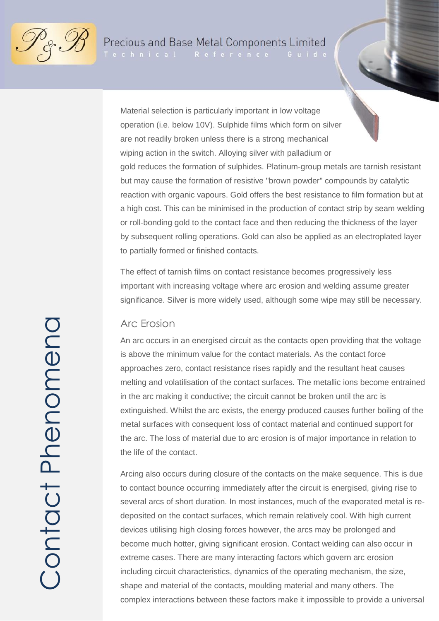

Technical Reference

Material selection is particularly important in low voltage operation (i.e. below 10V). Sulphide films which form on silver are not readily broken unless there is a strong mechanical wiping action in the switch. Alloying silver with palladium or gold reduces the formation of sulphides. Platinum-group metals are tarnish resistant but may cause the formation of resistive "brown powder" compounds by catalytic reaction with organic vapours. Gold offers the best resistance to film formation but at a high cost. This can be minimised in the production of contact strip by seam welding or roll-bonding gold to the contact face and then reducing the thickness of the layer by subsequent rolling operations. Gold can also be applied as an electroplated layer to partially formed or finished contacts.

The effect of tarnish films on contact resistance becomes progressively less important with increasing voltage where arc erosion and welding assume greater significance. Silver is more widely used, although some wipe may still be necessary.

#### Arc Erosion

An arc occurs in an energised circuit as the contacts open providing that the voltage is above the minimum value for the contact materials. As the contact force approaches zero, contact resistance rises rapidly and the resultant heat causes melting and volatilisation of the contact surfaces. The metallic ions become entrained in the arc making it conductive; the circuit cannot be broken until the arc is extinguished. Whilst the arc exists, the energy produced causes further boiling of the metal surfaces with consequent loss of contact material and continued support for the arc. The loss of material due to arc erosion is of major importance in relation to the life of the contact.

Arcing also occurs during closure of the contacts on the make sequence. This is due to contact bounce occurring immediately after the circuit is energised, giving rise to several arcs of short duration. In most instances, much of the evaporated metal is redeposited on the contact surfaces, which remain relatively cool. With high current devices utilising high closing forces however, the arcs may be prolonged and become much hotter, giving significant erosion. Contact welding can also occur in extreme cases. There are many interacting factors which govern arc erosion including circuit characteristics, dynamics of the operating mechanism, the size, shape and material of the contacts, moulding material and many others. The complex interactions between these factors make it impossible to provide a universal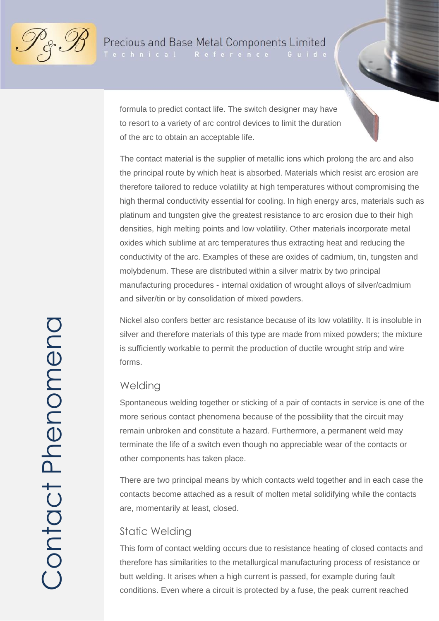

Technical Reference



formula to predict contact life. The switch designer may have to resort to a variety of arc control devices to limit the duration of the arc to obtain an acceptable life.

The contact material is the supplier of metallic ions which prolong the arc and also the principal route by which heat is absorbed. Materials which resist arc erosion are therefore tailored to reduce volatility at high temperatures without compromising the high thermal conductivity essential for cooling. In high energy arcs, materials such as platinum and tungsten give the greatest resistance to arc erosion due to their high densities, high melting points and low volatility. Other materials incorporate metal oxides which sublime at arc temperatures thus extracting heat and reducing the conductivity of the arc. Examples of these are oxides of cadmium, tin, tungsten and molybdenum. These are distributed within a silver matrix by two principal manufacturing procedures - internal oxidation of wrought alloys of silver/cadmium and silver/tin or by consolidation of mixed powders.

Nickel also confers better arc resistance because of its low volatility. It is insoluble in silver and therefore materials of this type are made from mixed powders; the mixture is sufficiently workable to permit the production of ductile wrought strip and wire forms.

#### **Welding**

Spontaneous welding together or sticking of a pair of contacts in service is one of the more serious contact phenomena because of the possibility that the circuit may remain unbroken and constitute a hazard. Furthermore, a permanent weld may terminate the life of a switch even though no appreciable wear of the contacts or other components has taken place.

There are two principal means by which contacts weld together and in each case the contacts become attached as a result of molten metal solidifying while the contacts are, momentarily at least, closed.

### Static Welding

This form of contact welding occurs due to resistance heating of closed contacts and therefore has similarities to the metallurgical manufacturing process of resistance or butt welding. It arises when a high current is passed, for example during fault conditions. Even where a circuit is protected by a fuse, the peak current reached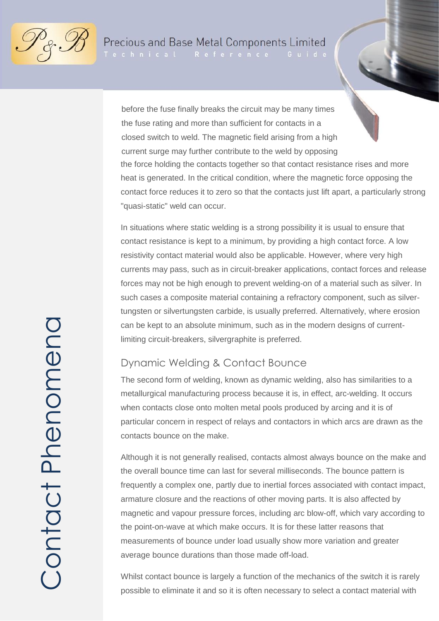

Technical Reference

before the fuse finally breaks the circuit may be many times the fuse rating and more than sufficient for contacts in a closed switch to weld. The magnetic field arising from a high current surge may further contribute to the weld by opposing the force holding the contacts together so that contact resistance rises and more heat is generated. In the critical condition, where the magnetic force opposing the contact force reduces it to zero so that the contacts just lift apart, a particularly strong "quasi-static" weld can occur.

In situations where static welding is a strong possibility it is usual to ensure that contact resistance is kept to a minimum, by providing a high contact force. A low resistivity contact material would also be applicable. However, where very high currents may pass, such as in circuit-breaker applications, contact forces and release forces may not be high enough to prevent welding-on of a material such as silver. In such cases a composite material containing a refractory component, such as silvertungsten or silvertungsten carbide, is usually preferred. Alternatively, where erosion can be kept to an absolute minimum, such as in the modern designs of currentlimiting circuit-breakers, silvergraphite is preferred.

#### Dynamic Welding & Contact Bounce

The second form of welding, known as dynamic welding, also has similarities to a metallurgical manufacturing process because it is, in effect, arc-welding. It occurs when contacts close onto molten metal pools produced by arcing and it is of particular concern in respect of relays and contactors in which arcs are drawn as the contacts bounce on the make.

Although it is not generally realised, contacts almost always bounce on the make and the overall bounce time can last for several milliseconds. The bounce pattern is frequently a complex one, partly due to inertial forces associated with contact impact, armature closure and the reactions of other moving parts. It is also affected by magnetic and vapour pressure forces, including arc blow-off, which vary according to the point-on-wave at which make occurs. It is for these latter reasons that measurements of bounce under load usually show more variation and greater average bounce durations than those made off-load.

Whilst contact bounce is largely a function of the mechanics of the switch it is rarely possible to eliminate it and so it is often necessary to select a contact material with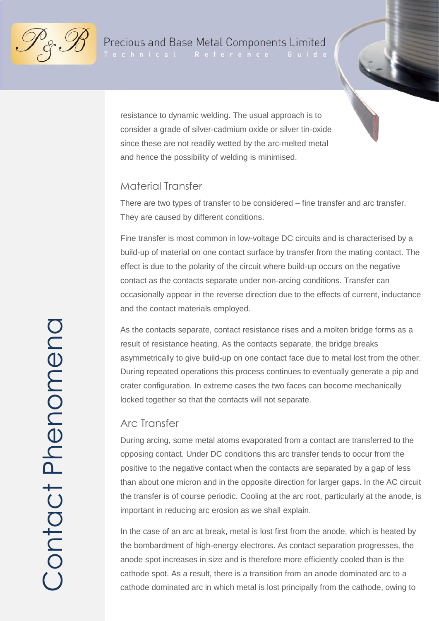

.<br>Technical Reference

resistance to dynamic welding. The usual approach is to consider a grade of silver-cadmium oxide or silver tin-oxide since these are not readily wetted by the arc-melted metal and hence the possibility of welding is minimised.

### Material Transfer

There are two types of transfer to be considered – fine transfer and arc transfer. They are caused by different conditions.

Fine transfer is most common in low-voltage DC circuits and is characterised by a build-up of material on one contact surface by transfer from the mating contact. The effect is due to the polarity of the circuit where build-up occurs on the negative contact as the contacts separate under non-arcing conditions. Transfer can occasionally appear in the reverse direction due to the effects of current, inductance and the contact materials employed.

As the contacts separate, contact resistance rises and a molten bridge forms as a result of resistance heating. As the contacts separate, the bridge breaks asymmetrically to give build-up on one contact face due to metal lost from the other. During repeated operations this process continues to eventually generate a pip and crater configuration. In extreme cases the two faces can become mechanically locked together so that the contacts will not separate.

### Arc Transfer

During arcing, some metal atoms evaporated from a contact are transferred to the opposing contact. Under DC conditions this arc transfer tends to occur from the positive to the negative contact when the contacts are separated by a gap of less than about one micron and in the opposite direction for larger gaps. In the AC circuit the transfer is of course periodic. Cooling at the arc root, particularly at the anode, is important in reducing arc erosion as we shall explain.

In the case of an arc at break, metal is lost first from the anode, which is heated by the bombardment of high-energy electrons. As contact separation progresses, the anode spot increases in size and is therefore more efficiently cooled than is the cathode spot. As a result, there is a transition from an anode dominated arc to a cathode dominated arc in which metal is lost principally from the cathode, owing to